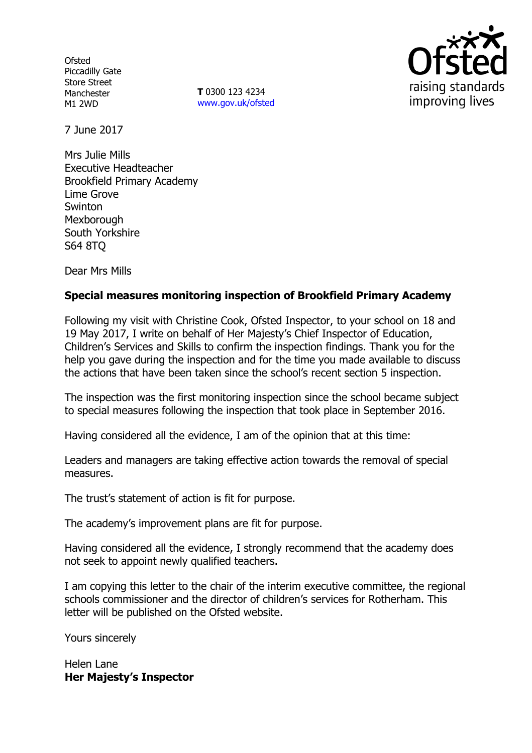**Ofsted** Piccadilly Gate Store Street Manchester M1 2WD

**T** 0300 123 4234 www.gov.uk/ofsted



7 June 2017

Mrs Julie Mills Executive Headteacher Brookfield Primary Academy Lime Grove **Swinton** Mexborough South Yorkshire S64 8TQ

Dear Mrs Mills

# **Special measures monitoring inspection of Brookfield Primary Academy**

Following my visit with Christine Cook, Ofsted Inspector, to your school on 18 and 19 May 2017, I write on behalf of Her Majesty's Chief Inspector of Education, Children's Services and Skills to confirm the inspection findings. Thank you for the help you gave during the inspection and for the time you made available to discuss the actions that have been taken since the school's recent section 5 inspection.

The inspection was the first monitoring inspection since the school became subject to special measures following the inspection that took place in September 2016.

Having considered all the evidence, I am of the opinion that at this time:

Leaders and managers are taking effective action towards the removal of special measures.

The trust's statement of action is fit for purpose.

The academy's improvement plans are fit for purpose.

Having considered all the evidence, I strongly recommend that the academy does not seek to appoint newly qualified teachers.

I am copying this letter to the chair of the interim executive committee, the regional schools commissioner and the director of children's services for Rotherham. This letter will be published on the Ofsted website.

Yours sincerely

Helen Lane **Her Majesty's Inspector**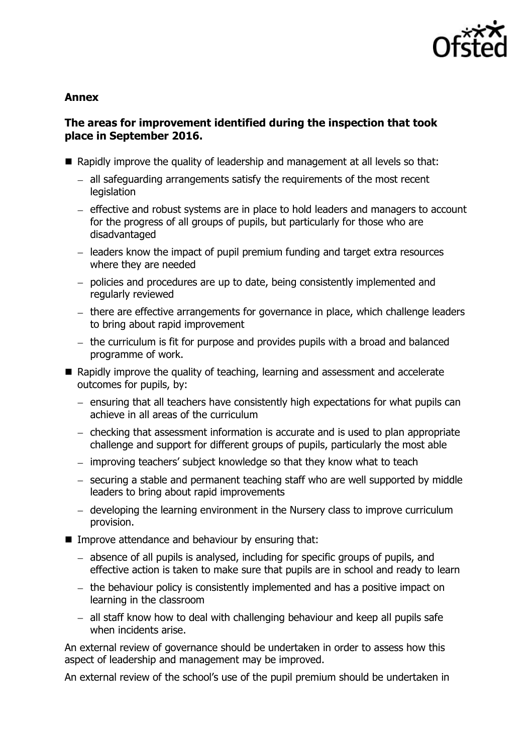

#### **Annex**

### **The areas for improvement identified during the inspection that took place in September 2016.**

- Rapidly improve the quality of leadership and management at all levels so that:
	- $-$  all safeguarding arrangements satisfy the requirements of the most recent **legislation**
	- effective and robust systems are in place to hold leaders and managers to account for the progress of all groups of pupils, but particularly for those who are disadvantaged
	- leaders know the impact of pupil premium funding and target extra resources where they are needed
	- policies and procedures are up to date, being consistently implemented and regularly reviewed
	- there are effective arrangements for governance in place, which challenge leaders to bring about rapid improvement
	- $-$  the curriculum is fit for purpose and provides pupils with a broad and balanced programme of work.
- Rapidly improve the quality of teaching, learning and assessment and accelerate outcomes for pupils, by:
	- ensuring that all teachers have consistently high expectations for what pupils can achieve in all areas of the curriculum
	- $-$  checking that assessment information is accurate and is used to plan appropriate challenge and support for different groups of pupils, particularly the most able
	- improving teachers' subject knowledge so that they know what to teach
	- securing a stable and permanent teaching staff who are well supported by middle leaders to bring about rapid improvements
	- developing the learning environment in the Nursery class to improve curriculum provision.
- **IMPROVE Attendance and behaviour by ensuring that:** 
	- absence of all pupils is analysed, including for specific groups of pupils, and effective action is taken to make sure that pupils are in school and ready to learn
	- the behaviour policy is consistently implemented and has a positive impact on learning in the classroom
	- $-$  all staff know how to deal with challenging behaviour and keep all pupils safe when incidents arise.

An external review of governance should be undertaken in order to assess how this aspect of leadership and management may be improved.

An external review of the school's use of the pupil premium should be undertaken in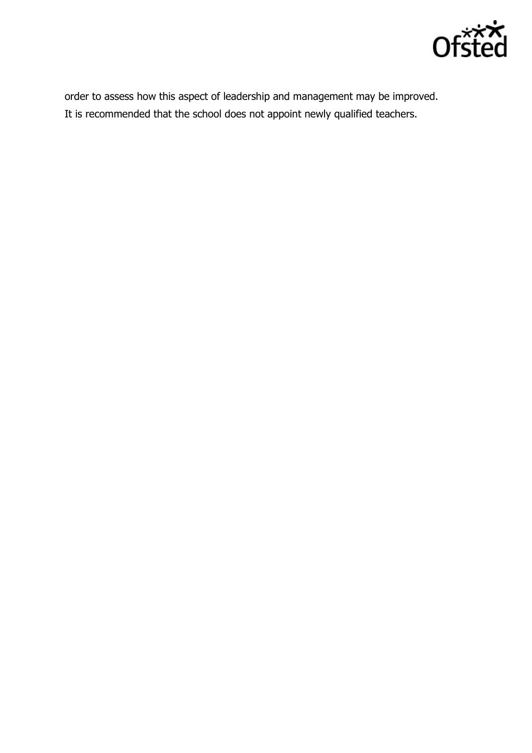

order to assess how this aspect of leadership and management may be improved. It is recommended that the school does not appoint newly qualified teachers.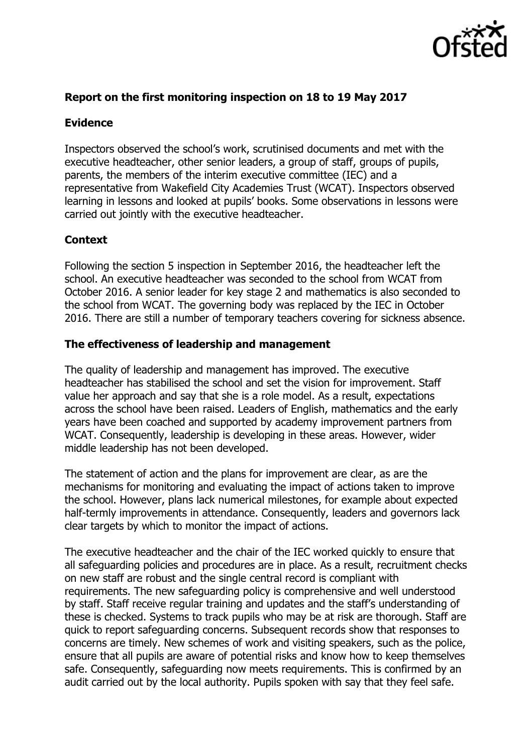

## **Report on the first monitoring inspection on 18 to 19 May 2017**

### **Evidence**

Inspectors observed the school's work, scrutinised documents and met with the executive headteacher, other senior leaders, a group of staff, groups of pupils, parents, the members of the interim executive committee (IEC) and a representative from Wakefield City Academies Trust (WCAT). Inspectors observed learning in lessons and looked at pupils' books. Some observations in lessons were carried out jointly with the executive headteacher.

# **Context**

Following the section 5 inspection in September 2016, the headteacher left the school. An executive headteacher was seconded to the school from WCAT from October 2016. A senior leader for key stage 2 and mathematics is also seconded to the school from WCAT. The governing body was replaced by the IEC in October 2016. There are still a number of temporary teachers covering for sickness absence.

### **The effectiveness of leadership and management**

The quality of leadership and management has improved. The executive headteacher has stabilised the school and set the vision for improvement. Staff value her approach and say that she is a role model. As a result, expectations across the school have been raised. Leaders of English, mathematics and the early years have been coached and supported by academy improvement partners from WCAT. Consequently, leadership is developing in these areas. However, wider middle leadership has not been developed.

The statement of action and the plans for improvement are clear, as are the mechanisms for monitoring and evaluating the impact of actions taken to improve the school. However, plans lack numerical milestones, for example about expected half-termly improvements in attendance. Consequently, leaders and governors lack clear targets by which to monitor the impact of actions.

The executive headteacher and the chair of the IEC worked quickly to ensure that all safeguarding policies and procedures are in place. As a result, recruitment checks on new staff are robust and the single central record is compliant with requirements. The new safeguarding policy is comprehensive and well understood by staff. Staff receive regular training and updates and the staff's understanding of these is checked. Systems to track pupils who may be at risk are thorough. Staff are quick to report safeguarding concerns. Subsequent records show that responses to concerns are timely. New schemes of work and visiting speakers, such as the police, ensure that all pupils are aware of potential risks and know how to keep themselves safe. Consequently, safeguarding now meets requirements. This is confirmed by an audit carried out by the local authority. Pupils spoken with say that they feel safe.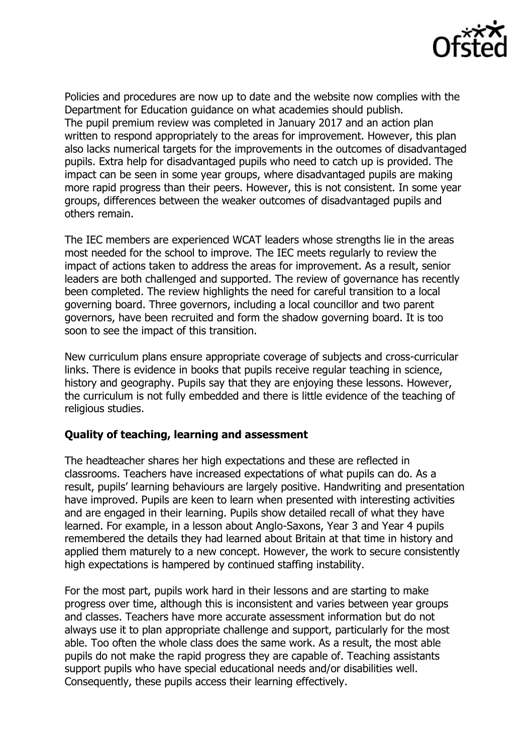

Policies and procedures are now up to date and the website now complies with the Department for Education guidance on what academies should publish. The pupil premium review was completed in January 2017 and an action plan written to respond appropriately to the areas for improvement. However, this plan also lacks numerical targets for the improvements in the outcomes of disadvantaged pupils. Extra help for disadvantaged pupils who need to catch up is provided. The impact can be seen in some year groups, where disadvantaged pupils are making more rapid progress than their peers. However, this is not consistent. In some year groups, differences between the weaker outcomes of disadvantaged pupils and others remain.

The IEC members are experienced WCAT leaders whose strengths lie in the areas most needed for the school to improve. The IEC meets regularly to review the impact of actions taken to address the areas for improvement. As a result, senior leaders are both challenged and supported. The review of governance has recently been completed. The review highlights the need for careful transition to a local governing board. Three governors, including a local councillor and two parent governors, have been recruited and form the shadow governing board. It is too soon to see the impact of this transition.

New curriculum plans ensure appropriate coverage of subjects and cross-curricular links. There is evidence in books that pupils receive regular teaching in science, history and geography. Pupils say that they are enjoying these lessons. However, the curriculum is not fully embedded and there is little evidence of the teaching of religious studies.

### **Quality of teaching, learning and assessment**

The headteacher shares her high expectations and these are reflected in classrooms. Teachers have increased expectations of what pupils can do. As a result, pupils' learning behaviours are largely positive. Handwriting and presentation have improved. Pupils are keen to learn when presented with interesting activities and are engaged in their learning. Pupils show detailed recall of what they have learned. For example, in a lesson about Anglo-Saxons, Year 3 and Year 4 pupils remembered the details they had learned about Britain at that time in history and applied them maturely to a new concept. However, the work to secure consistently high expectations is hampered by continued staffing instability.

For the most part, pupils work hard in their lessons and are starting to make progress over time, although this is inconsistent and varies between year groups and classes. Teachers have more accurate assessment information but do not always use it to plan appropriate challenge and support, particularly for the most able. Too often the whole class does the same work. As a result, the most able pupils do not make the rapid progress they are capable of. Teaching assistants support pupils who have special educational needs and/or disabilities well. Consequently, these pupils access their learning effectively.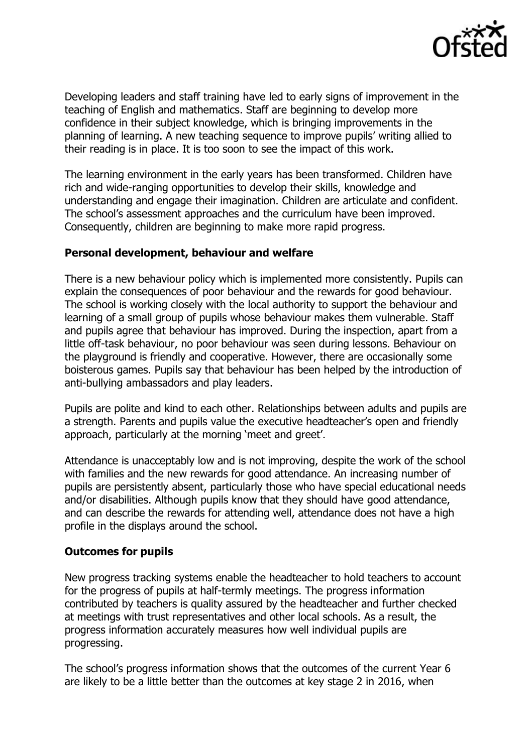

Developing leaders and staff training have led to early signs of improvement in the teaching of English and mathematics. Staff are beginning to develop more confidence in their subject knowledge, which is bringing improvements in the planning of learning. A new teaching sequence to improve pupils' writing allied to their reading is in place. It is too soon to see the impact of this work.

The learning environment in the early years has been transformed. Children have rich and wide-ranging opportunities to develop their skills, knowledge and understanding and engage their imagination. Children are articulate and confident. The school's assessment approaches and the curriculum have been improved. Consequently, children are beginning to make more rapid progress.

### **Personal development, behaviour and welfare**

There is a new behaviour policy which is implemented more consistently. Pupils can explain the consequences of poor behaviour and the rewards for good behaviour. The school is working closely with the local authority to support the behaviour and learning of a small group of pupils whose behaviour makes them vulnerable. Staff and pupils agree that behaviour has improved. During the inspection, apart from a little off-task behaviour, no poor behaviour was seen during lessons. Behaviour on the playground is friendly and cooperative. However, there are occasionally some boisterous games. Pupils say that behaviour has been helped by the introduction of anti-bullying ambassadors and play leaders.

Pupils are polite and kind to each other. Relationships between adults and pupils are a strength. Parents and pupils value the executive headteacher's open and friendly approach, particularly at the morning 'meet and greet'.

Attendance is unacceptably low and is not improving, despite the work of the school with families and the new rewards for good attendance. An increasing number of pupils are persistently absent, particularly those who have special educational needs and/or disabilities. Although pupils know that they should have good attendance, and can describe the rewards for attending well, attendance does not have a high profile in the displays around the school.

### **Outcomes for pupils**

New progress tracking systems enable the headteacher to hold teachers to account for the progress of pupils at half-termly meetings. The progress information contributed by teachers is quality assured by the headteacher and further checked at meetings with trust representatives and other local schools. As a result, the progress information accurately measures how well individual pupils are progressing.

The school's progress information shows that the outcomes of the current Year 6 are likely to be a little better than the outcomes at key stage 2 in 2016, when